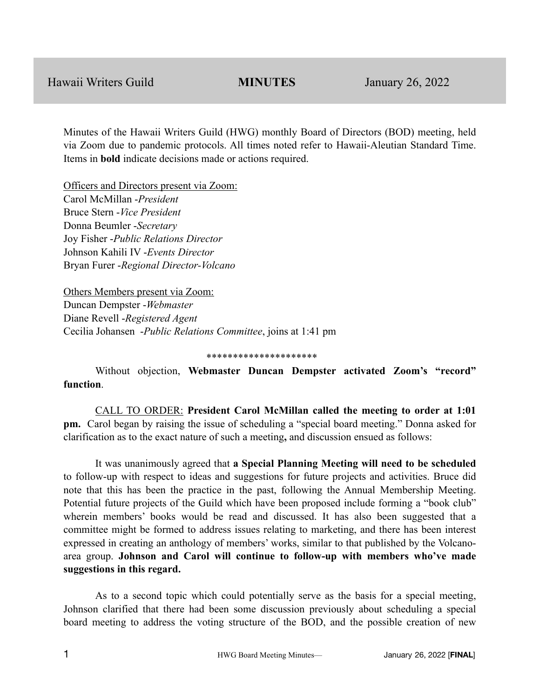Minutes of the Hawaii Writers Guild (HWG) monthly Board of Directors (BOD) meeting, held via Zoom due to pandemic protocols. All times noted refer to Hawaii-Aleutian Standard Time. Items in **bold** indicate decisions made or actions required.

Officers and Directors present via Zoom: Carol McMillan -*President* Bruce Stern -*Vice President* Donna Beumler -*Secretary* Joy Fisher -*Public Relations Director* Johnson Kahili IV -*Events Director* Bryan Furer -*Regional Director-Volcano*

Others Members present via Zoom: Duncan Dempster -*Webmaster* Diane Revell -*Registered Agent* Cecilia Johansen -*Public Relations Committee*, joins at 1:41 pm

### \*\*\*\*\*\*\*\*\*\*\*\*\*\*\*\*\*\*\*\*\*

Without objection, **Webmaster Duncan Dempster activated Zoom's "record" function**.

CALL TO ORDER: **President Carol McMillan called the meeting to order at 1:01 pm.** Carol began by raising the issue of scheduling a "special board meeting." Donna asked for clarification as to the exact nature of such a meeting**,** and discussion ensued as follows:

It was unanimously agreed that **a Special Planning Meeting will need to be scheduled** to follow-up with respect to ideas and suggestions for future projects and activities. Bruce did note that this has been the practice in the past, following the Annual Membership Meeting. Potential future projects of the Guild which have been proposed include forming a "book club" wherein members' books would be read and discussed. It has also been suggested that a committee might be formed to address issues relating to marketing, and there has been interest expressed in creating an anthology of members' works, similar to that published by the Volcanoarea group. **Johnson and Carol will continue to follow-up with members who've made suggestions in this regard.**

As to a second topic which could potentially serve as the basis for a special meeting, Johnson clarified that there had been some discussion previously about scheduling a special board meeting to address the voting structure of the BOD, and the possible creation of new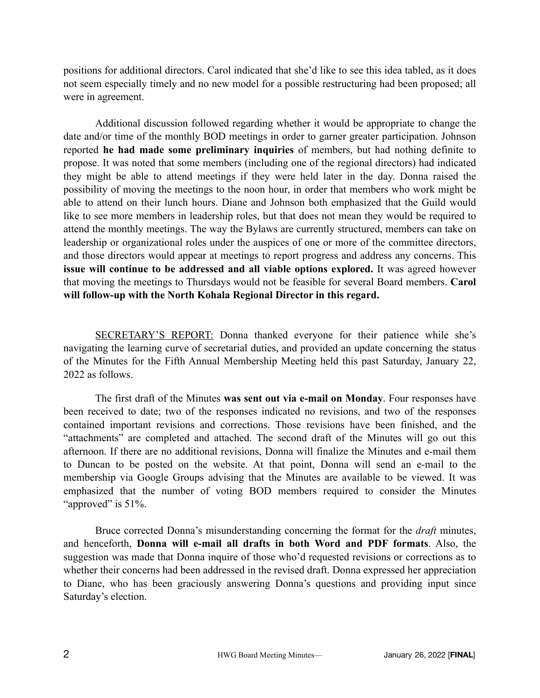positions for additional directors. Carol indicated that she'd like to see this idea tabled, as it does not seem especially timely and no new model for a possible restructuring had been proposed; all were in agreement.

Additional discussion followed regarding whether it would be appropriate to change the date and/or time of the monthly BOD meetings in order to garner greater participation. Johnson reported **he had made some preliminary inquiries** of members, but had nothing definite to propose. It was noted that some members (including one of the regional directors) had indicated they might be able to attend meetings if they were held later in the day. Donna raised the possibility of moving the meetings to the noon hour, in order that members who work might be able to attend on their lunch hours. Diane and Johnson both emphasized that the Guild would like to see more members in leadership roles, but that does not mean they would be required to attend the monthly meetings. The way the Bylaws are currently structured, members can take on leadership or organizational roles under the auspices of one or more of the committee directors, and those directors would appear at meetings to report progress and address any concerns. This **issue will continue to be addressed and all viable options explored.** It was agreed however that moving the meetings to Thursdays would not be feasible for several Board members. **Carol will follow-up with the North Kohala Regional Director in this regard.**

SECRETARY'S REPORT: Donna thanked everyone for their patience while she's navigating the learning curve of secretarial duties, and provided an update concerning the status of the Minutes for the Fifth Annual Membership Meeting held this past Saturday, January 22, 2022 as follows.

The first draft of the Minutes **was sent out via e-mail on Monday**. Four responses have been received to date; two of the responses indicated no revisions, and two of the responses contained important revisions and corrections. Those revisions have been finished, and the "attachments" are completed and attached. The second draft of the Minutes will go out this afternoon. If there are no additional revisions, Donna will finalize the Minutes and e-mail them to Duncan to be posted on the website. At that point, Donna will send an e-mail to the membership via Google Groups advising that the Minutes are available to be viewed. It was emphasized that the number of voting BOD members required to consider the Minutes "approved" is 51%.

Bruce corrected Donna's misunderstanding concerning the format for the *draft* minutes, and henceforth, **Donna will e-mail all drafts in both Word and PDF formats**. Also, the suggestion was made that Donna inquire of those who'd requested revisions or corrections as to whether their concerns had been addressed in the revised draft. Donna expressed her appreciation to Diane, who has been graciously answering Donna's questions and providing input since Saturday's election.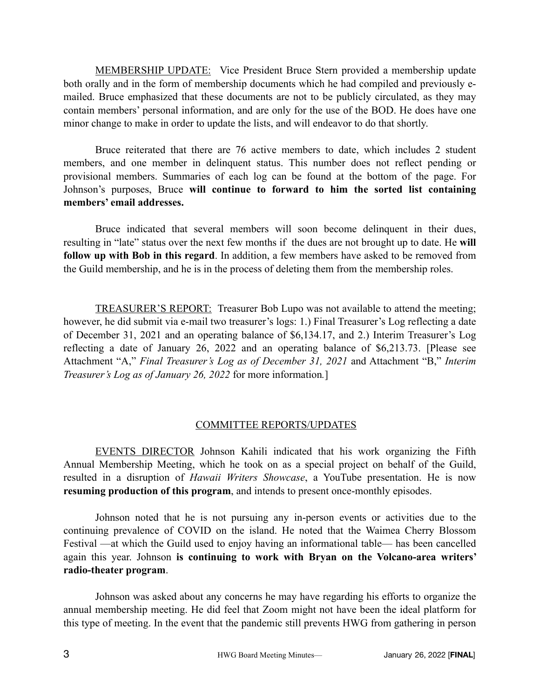MEMBERSHIP UPDATE: Vice President Bruce Stern provided a membership update both orally and in the form of membership documents which he had compiled and previously emailed. Bruce emphasized that these documents are not to be publicly circulated, as they may contain members' personal information, and are only for the use of the BOD. He does have one minor change to make in order to update the lists, and will endeavor to do that shortly.

Bruce reiterated that there are 76 active members to date, which includes 2 student members, and one member in delinquent status. This number does not reflect pending or provisional members. Summaries of each log can be found at the bottom of the page. For Johnson's purposes, Bruce **will continue to forward to him the sorted list containing members' email addresses.**

Bruce indicated that several members will soon become delinquent in their dues, resulting in "late" status over the next few months if the dues are not brought up to date. He **will follow up with Bob in this regard**. In addition, a few members have asked to be removed from the Guild membership, and he is in the process of deleting them from the membership roles.

TREASURER'S REPORT: Treasurer Bob Lupo was not available to attend the meeting; however, he did submit via e-mail two treasurer's logs: 1.) Final Treasurer's Log reflecting a date of December 31, 2021 and an operating balance of \$6,134.17, and 2.) Interim Treasurer's Log reflecting a date of January 26, 2022 and an operating balance of \$6,213.73. [Please see Attachment "A," *Final Treasurer's Log as of December 31, 2021* and Attachment "B," *Interim Treasurer's Log as of January 26, 2022* for more information*.*]

## COMMITTEE REPORTS/UPDATES

EVENTS DIRECTOR Johnson Kahili indicated that his work organizing the Fifth Annual Membership Meeting, which he took on as a special project on behalf of the Guild, resulted in a disruption of *Hawaii Writers Showcase*, a YouTube presentation. He is now **resuming production of this program**, and intends to present once-monthly episodes.

Johnson noted that he is not pursuing any in-person events or activities due to the continuing prevalence of COVID on the island. He noted that the Waimea Cherry Blossom Festival —at which the Guild used to enjoy having an informational table— has been cancelled again this year. Johnson **is continuing to work with Bryan on the Volcano-area writers' radio-theater program**.

Johnson was asked about any concerns he may have regarding his efforts to organize the annual membership meeting. He did feel that Zoom might not have been the ideal platform for this type of meeting. In the event that the pandemic still prevents HWG from gathering in person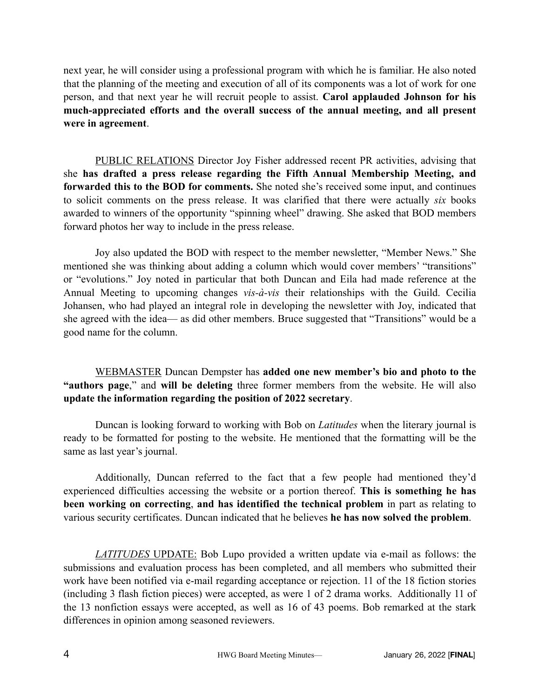next year, he will consider using a professional program with which he is familiar. He also noted that the planning of the meeting and execution of all of its components was a lot of work for one person, and that next year he will recruit people to assist. **Carol applauded Johnson for his much-appreciated efforts and the overall success of the annual meeting, and all present were in agreement**.

PUBLIC RELATIONS Director Joy Fisher addressed recent PR activities, advising that she **has drafted a press release regarding the Fifth Annual Membership Meeting, and forwarded this to the BOD for comments.** She noted she's received some input, and continues to solicit comments on the press release. It was clarified that there were actually *six* books awarded to winners of the opportunity "spinning wheel" drawing. She asked that BOD members forward photos her way to include in the press release.

Joy also updated the BOD with respect to the member newsletter, "Member News." She mentioned she was thinking about adding a column which would cover members' "transitions" or "evolutions." Joy noted in particular that both Duncan and Eila had made reference at the Annual Meeting to upcoming changes *vis-à-vis* their relationships with the Guild. Cecilia Johansen, who had played an integral role in developing the newsletter with Joy, indicated that she agreed with the idea— as did other members. Bruce suggested that "Transitions" would be a good name for the column.

WEBMASTER Duncan Dempster has **added one new member's bio and photo to the "authors page**," and **will be deleting** three former members from the website. He will also **update the information regarding the position of 2022 secretary**.

Duncan is looking forward to working with Bob on *Latitudes* when the literary journal is ready to be formatted for posting to the website. He mentioned that the formatting will be the same as last year's journal.

Additionally, Duncan referred to the fact that a few people had mentioned they'd experienced difficulties accessing the website or a portion thereof. **This is something he has been working on correcting**, **and has identified the technical problem** in part as relating to various security certificates. Duncan indicated that he believes **he has now solved the problem**.

*LATITUDES* UPDATE: Bob Lupo provided a written update via e-mail as follows: the submissions and evaluation process has been completed, and all members who submitted their work have been notified via e-mail regarding acceptance or rejection. 11 of the 18 fiction stories (including 3 flash fiction pieces) were accepted, as were 1 of 2 drama works. Additionally 11 of the 13 nonfiction essays were accepted, as well as 16 of 43 poems. Bob remarked at the stark differences in opinion among seasoned reviewers.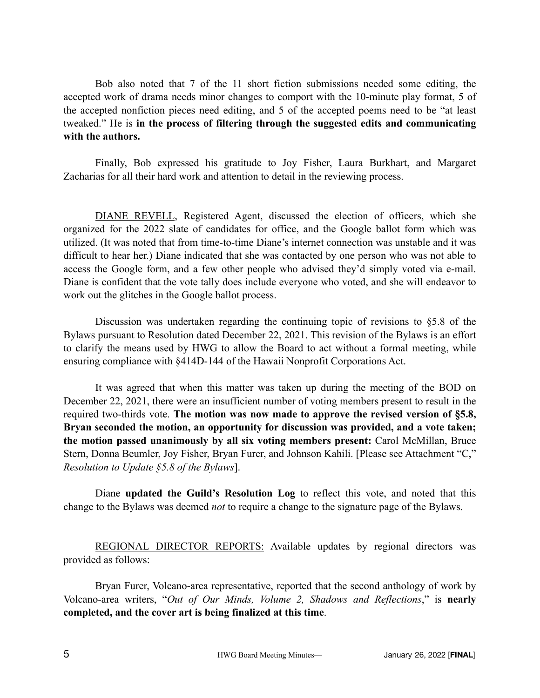Bob also noted that 7 of the 11 short fiction submissions needed some editing, the accepted work of drama needs minor changes to comport with the 10-minute play format, 5 of the accepted nonfiction pieces need editing, and 5 of the accepted poems need to be "at least tweaked." He is **in the process of filtering through the suggested edits and communicating with the authors.**

Finally, Bob expressed his gratitude to Joy Fisher, Laura Burkhart, and Margaret Zacharias for all their hard work and attention to detail in the reviewing process.

DIANE REVELL, Registered Agent, discussed the election of officers, which she organized for the 2022 slate of candidates for office, and the Google ballot form which was utilized. (It was noted that from time-to-time Diane's internet connection was unstable and it was difficult to hear her.) Diane indicated that she was contacted by one person who was not able to access the Google form, and a few other people who advised they'd simply voted via e-mail. Diane is confident that the vote tally does include everyone who voted, and she will endeavor to work out the glitches in the Google ballot process.

Discussion was undertaken regarding the continuing topic of revisions to §5.8 of the Bylaws pursuant to Resolution dated December 22, 2021. This revision of the Bylaws is an effort to clarify the means used by HWG to allow the Board to act without a formal meeting, while ensuring compliance with §414D-144 of the Hawaii Nonprofit Corporations Act.

It was agreed that when this matter was taken up during the meeting of the BOD on December 22, 2021, there were an insufficient number of voting members present to result in the required two-thirds vote. **The motion was now made to approve the revised version of §5.8, Bryan seconded the motion, an opportunity for discussion was provided, and a vote taken; the motion passed unanimously by all six voting members present:** Carol McMillan, Bruce Stern, Donna Beumler, Joy Fisher, Bryan Furer, and Johnson Kahili. [Please see Attachment "C," *Resolution to Update §5.8 of the Bylaws*].

Diane **updated the Guild's Resolution Log** to reflect this vote, and noted that this change to the Bylaws was deemed *not* to require a change to the signature page of the Bylaws.

REGIONAL DIRECTOR REPORTS: Available updates by regional directors was provided as follows:

Bryan Furer, Volcano-area representative, reported that the second anthology of work by Volcano-area writers, "*Out of Our Minds, Volume 2, Shadows and Reflections*," is **nearly completed, and the cover art is being finalized at this time**.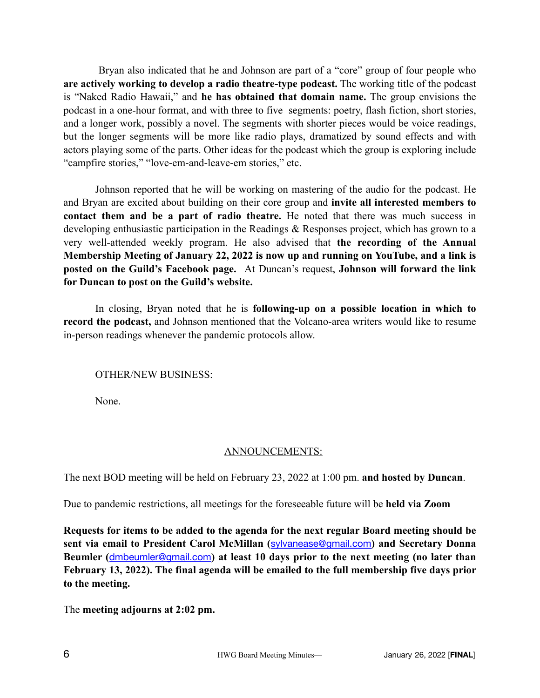Bryan also indicated that he and Johnson are part of a "core" group of four people who **are actively working to develop a radio theatre-type podcast.** The working title of the podcast is "Naked Radio Hawaii," and **he has obtained that domain name.** The group envisions the podcast in a one-hour format, and with three to five segments: poetry, flash fiction, short stories, and a longer work, possibly a novel. The segments with shorter pieces would be voice readings, but the longer segments will be more like radio plays, dramatized by sound effects and with actors playing some of the parts. Other ideas for the podcast which the group is exploring include "campfire stories," "love-em-and-leave-em stories," etc.

Johnson reported that he will be working on mastering of the audio for the podcast. He and Bryan are excited about building on their core group and **invite all interested members to contact them and be a part of radio theatre.** He noted that there was much success in developing enthusiastic participation in the Readings & Responses project, which has grown to a very well-attended weekly program. He also advised that **the recording of the Annual Membership Meeting of January 22, 2022 is now up and running on YouTube, and a link is posted on the Guild's Facebook page.** At Duncan's request, **Johnson will forward the link for Duncan to post on the Guild's website.** 

In closing, Bryan noted that he is **following-up on a possible location in which to record the podcast,** and Johnson mentioned that the Volcano-area writers would like to resume in-person readings whenever the pandemic protocols allow.

### OTHER/NEW BUSINESS:

None.

## ANNOUNCEMENTS:

The next BOD meeting will be held on February 23, 2022 at 1:00 pm. **and hosted by Duncan**.

Due to pandemic restrictions, all meetings for the foreseeable future will be **held via Zoom**

**Requests for items to be added to the agenda for the next regular Board meeting should be sent via email to President Carol McMillan (**[sylvanease@gmail.com](mailto:sylvanease@gmail.com)**) and Secretary Donna Beumler (**[dmbeumler@gmail.com](mailto:dmbeumler@gmail.com)**) at least 10 days prior to the next meeting (no later than February 13, 2022). The final agenda will be emailed to the full membership five days prior to the meeting.**

The **meeting adjourns at 2:02 pm.**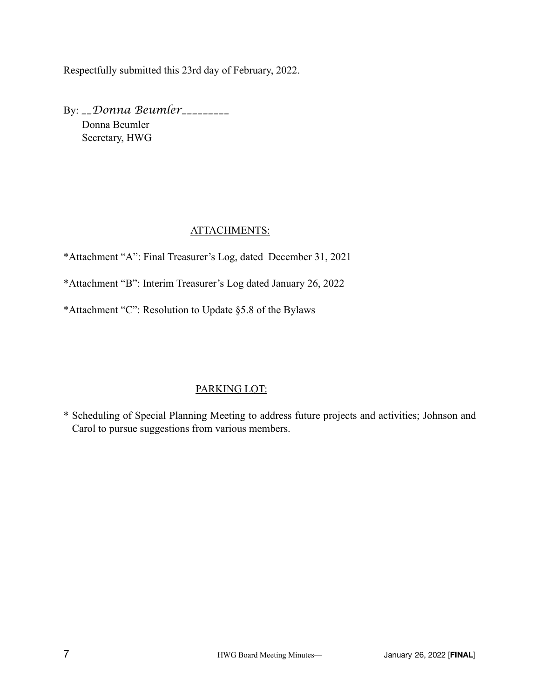Respectfully submitted this 23rd day of February, 2022.

By: *\_\_Donna Beumler\_\_\_\_\_\_\_\_\_* Donna Beumler Secretary, HWG

## ATTACHMENTS:

\*Attachment "A": Final Treasurer's Log, dated December 31, 2021

\*Attachment "B": Interim Treasurer's Log dated January 26, 2022

\*Attachment "C": Resolution to Update §5.8 of the Bylaws

# PARKING LOT:

\* Scheduling of Special Planning Meeting to address future projects and activities; Johnson and Carol to pursue suggestions from various members.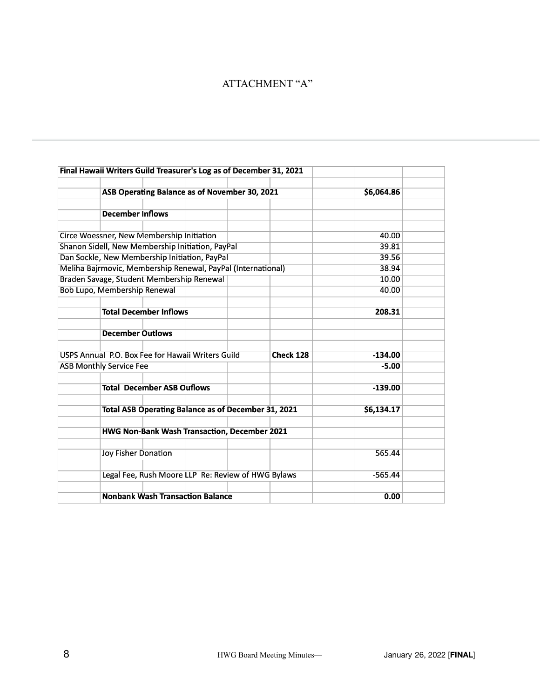# ATTACHMENT "A"

|                                           |                                                              | Final Hawaii Writers Guild Treasurer's Log as of December 31, 2021 |            |           |           |  |  |  |
|-------------------------------------------|--------------------------------------------------------------|--------------------------------------------------------------------|------------|-----------|-----------|--|--|--|
|                                           |                                                              | ASB Operating Balance as of November 30, 2021                      | \$6,064.86 |           |           |  |  |  |
|                                           |                                                              |                                                                    |            |           |           |  |  |  |
|                                           | <b>December Inflows</b>                                      |                                                                    |            |           |           |  |  |  |
|                                           |                                                              |                                                                    |            |           |           |  |  |  |
|                                           | Circe Woessner, New Membership Initiation                    | 40.00                                                              |            |           |           |  |  |  |
|                                           | Shanon Sidell, New Membership Initiation, PayPal             | 39.81                                                              |            |           |           |  |  |  |
|                                           | Dan Sockle, New Membership Initiation, PayPal                | 39.56                                                              |            |           |           |  |  |  |
|                                           | Meliha Bajrmovic, Membership Renewal, PayPal (International) | 38.94                                                              |            |           |           |  |  |  |
| Braden Savage, Student Membership Renewal |                                                              |                                                                    |            |           | 10.00     |  |  |  |
| Bob Lupo, Membership Renewal              |                                                              |                                                                    |            |           | 40.00     |  |  |  |
|                                           |                                                              |                                                                    |            |           |           |  |  |  |
|                                           | <b>Total December Inflows</b>                                |                                                                    |            |           | 208.31    |  |  |  |
|                                           |                                                              |                                                                    |            |           |           |  |  |  |
|                                           | <b>December Outlows</b>                                      |                                                                    |            |           |           |  |  |  |
|                                           |                                                              |                                                                    |            |           |           |  |  |  |
|                                           |                                                              | USPS Annual P.O. Box Fee for Hawaii Writers Guild                  | Check 128  | $-134.00$ |           |  |  |  |
| <b>ASB Monthly Service Fee</b>            |                                                              |                                                                    |            |           | $-5.00$   |  |  |  |
|                                           |                                                              |                                                                    |            |           |           |  |  |  |
|                                           | <b>Total December ASB Ouflows</b>                            |                                                                    |            | $-139.00$ |           |  |  |  |
|                                           |                                                              |                                                                    |            |           |           |  |  |  |
|                                           |                                                              | Total ASB Operating Balance as of December 31, 2021                | \$6,134.17 |           |           |  |  |  |
|                                           |                                                              |                                                                    |            |           |           |  |  |  |
|                                           | <b>HWG Non-Bank Wash Transaction, December 2021</b>          |                                                                    |            |           |           |  |  |  |
|                                           |                                                              |                                                                    |            |           | 565.44    |  |  |  |
|                                           | <b>Joy Fisher Donation</b>                                   |                                                                    |            |           |           |  |  |  |
|                                           |                                                              | Legal Fee, Rush Moore LLP Re: Review of HWG Bylaws                 |            |           | $-565.44$ |  |  |  |
|                                           |                                                              |                                                                    |            |           |           |  |  |  |
|                                           |                                                              | <b>Nonbank Wash Transaction Balance</b>                            |            | 0.00      |           |  |  |  |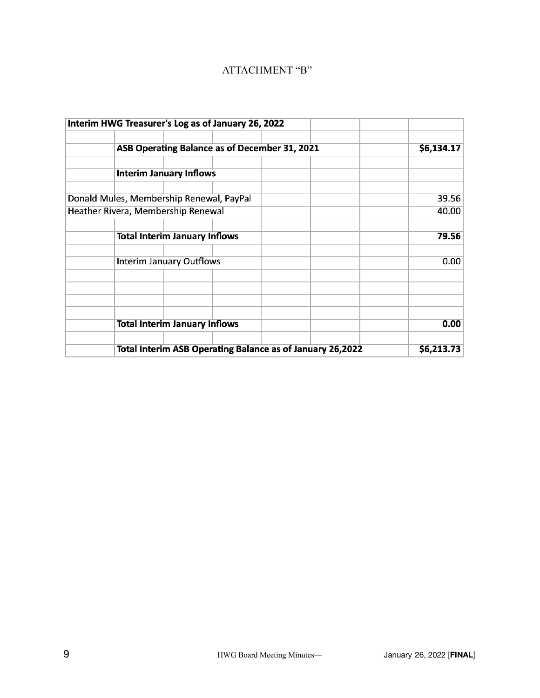# ATTACHMENT "B"

|                                    |                                                           | Interim HWG Treasurer's Log as of January 26, 2022 |  |       |
|------------------------------------|-----------------------------------------------------------|----------------------------------------------------|--|-------|
|                                    | ASB Operating Balance as of December 31, 2021             | \$6,134.17                                         |  |       |
|                                    | <b>Interim January Inflows</b>                            |                                                    |  |       |
|                                    |                                                           | Donald Mules, Membership Renewal, PayPal           |  | 39.56 |
| Heather Rivera, Membership Renewal |                                                           |                                                    |  | 40.00 |
|                                    |                                                           | <b>Total Interim January Inflows</b>               |  | 79.56 |
|                                    |                                                           | <b>Interim January Outflows</b>                    |  | 0.00  |
|                                    |                                                           |                                                    |  |       |
|                                    | <b>Total Interim January Inflows</b>                      | 0.00                                               |  |       |
|                                    | Total Interim ASB Operating Balance as of January 26,2022 | \$6,213.73                                         |  |       |